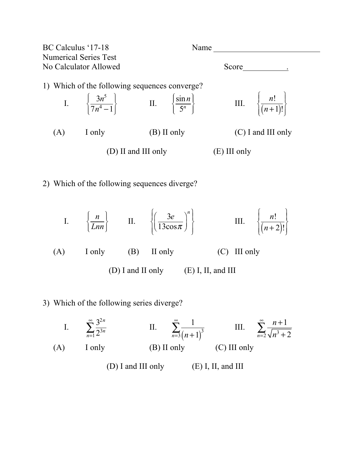| BC Calculus '17-18    |                              | Name                                                                                                                    |                      |
|-----------------------|------------------------------|-------------------------------------------------------------------------------------------------------------------------|----------------------|
|                       | <b>Numerical Series Test</b> |                                                                                                                         |                      |
| No Calculator Allowed |                              |                                                                                                                         | Score                |
|                       |                              | 1) Which of the following sequences converge?                                                                           |                      |
|                       |                              | I. $\left\{\frac{3n^5}{7n^4-1}\right\}$ II. $\left\{\frac{\sin n}{5^n}\right\}$ III. $\left\{\frac{n!}{(n+1)!}\right\}$ |                      |
| (A)                   | I only                       | $(B)$ II only                                                                                                           | $(C)$ I and III only |
|                       |                              | (D) II and III only                                                                                                     | $(E)$ III only       |
|                       |                              |                                                                                                                         |                      |

2) Which of the following sequences diverge?

I. 
$$
\left\{\frac{n}{Lnn}\right\}
$$
 II.  $\left\{\left(\frac{3e}{13\cos\pi}\right)^n\right\}$  III.  $\left\{\frac{n!}{(n+2)!}\right\}$   
(A) I only (B) II only (C) III only (D) I and II only (E) I, II, and III

3) Which of the following series diverge?

I. 
$$
\sum_{n=1}^{\infty} \frac{3^{2n}}{2^{3n}}
$$
 II.  $\sum_{n=3}^{\infty} \frac{1}{(n+1)^3}$  III.  $\sum_{n=2}^{\infty} \frac{n+1}{\sqrt{n^3+2}}$   
\n(A) I only (B) II only (C) III only (D) I and III only (E) I, II, and III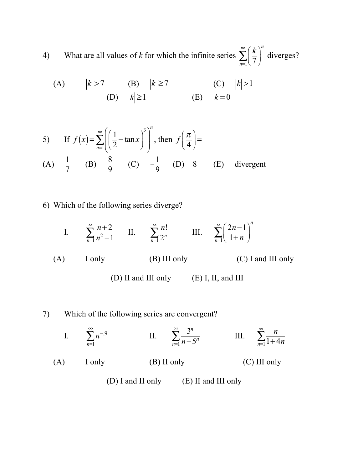4) What are all values of *k* for which the infinite series  $\sum_{n=1}^{\infty} \left( \frac{k}{7} \right)$ 7  $\big($  $\overline{\mathcal{N}}$  $\lambda$  $\sum_{n=1}$  $(\overline{7})$ ∞ ∑ *n* diverges?

(A) 
$$
|k| > 7
$$
 (B)  $|k| \ge 7$  (C)  $|k| > 1$   
(D)  $|k| \ge 1$  (E)  $k = 0$ 

5) If 
$$
f(x) = \sum_{n=1}^{\infty} \left( \frac{1}{2} - \tan x \right)^3 \Big)^n
$$
, then  $f\left( \frac{\pi}{4} \right) =$   
(A)  $\frac{1}{7}$  (B)  $\frac{8}{9}$  (C)  $-\frac{1}{9}$  (D) 8 (E) divergent

6) Which of the following series diverge?

I. 
$$
\sum_{n=1}^{\infty} \frac{n+2}{n^2+1}
$$
 II. 
$$
\sum_{n=1}^{\infty} \frac{n!}{2^n}
$$
 III. 
$$
\sum_{n=1}^{\infty} \left(\frac{2n-1}{1+n}\right)^n
$$
  
(A) I only (B) III only (C) I and III only

(D) II and III only (E) I, II, and III

## 7) Which of the following series are convergent?

I. 
$$
\sum_{n=1}^{\infty} n^{-.9}
$$
 II.  $\sum_{n=1}^{\infty} \frac{3^n}{n+5^n}$  III.  $\sum_{n=1}^{\infty} \frac{n}{1+4n}$   
(A) I only (B) II only (C) III only  
(D) I and II only (E) II and III only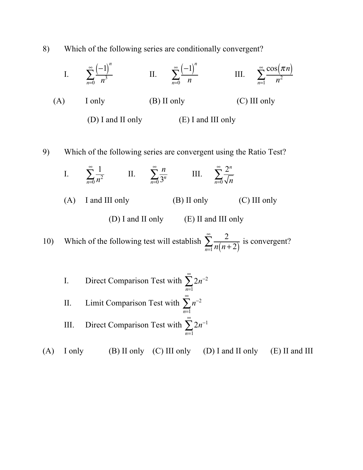8) Which of the following series are conditionally convergent?

I. 
$$
\sum_{n=0}^{\infty} \frac{(-1)^n}{n^3}
$$
 II.  $\sum_{n=0}^{\infty} \frac{(-1)^n}{n}$  III.  $\sum_{n=1}^{\infty} \frac{\cos(\pi n)}{n^2}$   
\n(A) I only (B) II only (C) III only  
\n(D) I and II only (E) I and III only  
\n9) Which of the following series are convergent using the Ratio Test?  
\nI.  $\sum_{n=0}^{\infty} \frac{1}{n^2}$  II.  $\sum_{n=0}^{\infty} \frac{n}{3^n}$  III.  $\sum_{n=0}^{\infty} \frac{2^n}{\sqrt{n}}$   
\n(A) I and III only (B) II only (C) III only  
\n(D) I and II only (E) II and III only  
\n10) Which of the following test will establish  $\sum_{n=1}^{\infty} \frac{2}{n(n+2)}$  is convergent?

\n- I. Direct Comparison Test with 
$$
\sum_{n=1}^{\infty} 2n^{-2}
$$
\n- II. Limit Comparison Test with  $\sum_{n=1}^{\infty} n^{-2}$
\n- III. Direct Comparison Test with  $\sum_{n=1}^{\infty} 2n^{-1}$
\n

(A) I only (B) II only (C) III only (D) I and II only (E) II and III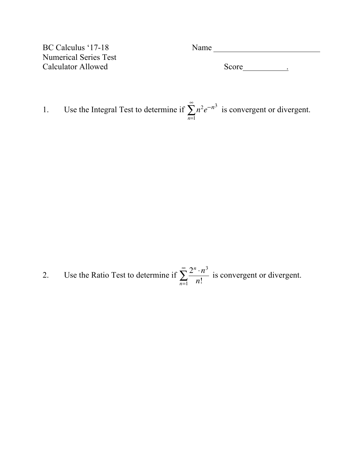Numerical Series Test Calculator Allowed Score <u>Score</u> ...

BC Calculus '17-18 Name

1. Use the Integral Test to determine if  $\sum n^2 e^{-n^3}$ *n*=1 ∞  $\sum n^2 e^{-n^3}$  is convergent or divergent.

2. Use the Ratio Test to determine if  $\sum_{n=1}^{\infty} \frac{2^n \cdot n^3}{n^3}$  $\sum_{n=1}$  *n*! ∞  $\sum_{n=1}^{\infty} \frac{z \cdot n}{n!}$  is convergent or divergent.